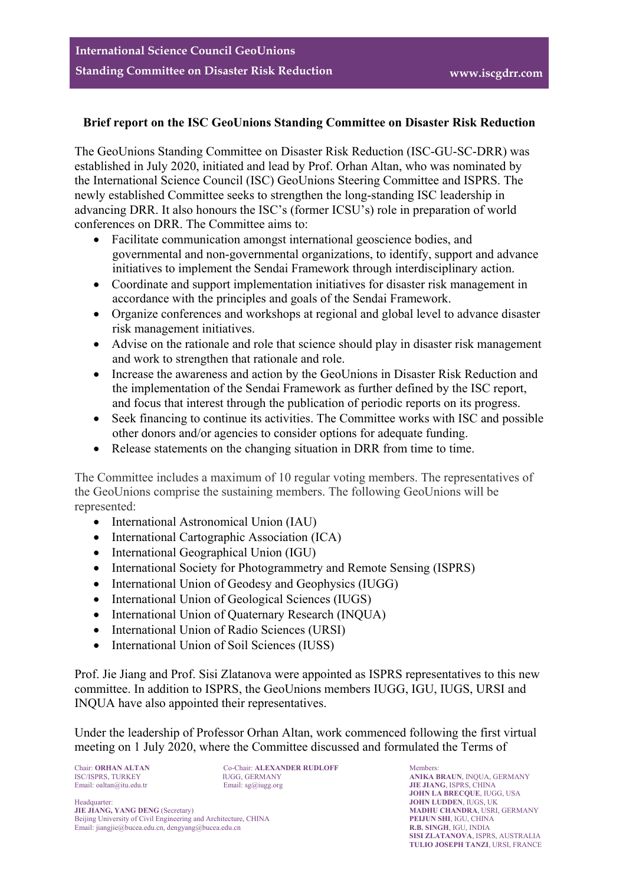## **Brief report on the ISC GeoUnions Standing Committee on Disaster Risk Reduction**

The GeoUnions Standing Committee on Disaster Risk Reduction (ISC-GU-SC-DRR) was established in July 2020, initiated and lead by Prof. Orhan Altan, who was nominated by the International Science Council (ISC) GeoUnions Steering Committee and ISPRS. The newly established Committee seeks to strengthen the long-standing ISC leadership in advancing DRR. It also honours the ISC's (former ICSU's) role in preparation of world conferences on DRR. The Committee aims to:

- Facilitate communication amongst international geoscience bodies, and governmental and non-governmental organizations, to identify, support and advance initiatives to implement the Sendai Framework through interdisciplinary action.
- Coordinate and support implementation initiatives for disaster risk management in accordance with the principles and goals of the Sendai Framework.
- Organize conferences and workshops at regional and global level to advance disaster risk management initiatives.
- Advise on the rationale and role that science should play in disaster risk management and work to strengthen that rationale and role.
- Increase the awareness and action by the GeoUnions in Disaster Risk Reduction and the implementation of the Sendai Framework as further defined by the ISC report, and focus that interest through the publication of periodic reports on its progress.
- Seek financing to continue its activities. The Committee works with ISC and possible other donors and/or agencies to consider options for adequate funding.
- Release statements on the changing situation in DRR from time to time.

The Committee includes a maximum of 10 regular voting members. The representatives of the GeoUnions comprise the sustaining members. The following GeoUnions will be represented:

- International Astronomical Union (IAU)
- International Cartographic Association (ICA)
- International Geographical Union (IGU)
- International Society for Photogrammetry and Remote Sensing (ISPRS)
- International Union of Geodesy and Geophysics (IUGG)
- International Union of Geological Sciences (IUGS)
- International Union of Quaternary Research (INQUA)
- International Union of Radio Sciences (URSI)
- International Union of Soil Sciences (IUSS)

Prof. Jie Jiang and Prof. Sisi Zlatanova were appointed as ISPRS representatives to this new committee. In addition to ISPRS, the GeoUnions members IUGG, IGU, IUGS, URSI and INQUA have also appointed their representatives.

Under the leadership of Professor Orhan Altan, work commenced following the first virtual meeting on 1 July 2020, where the Committee discussed and formulated the Terms of

Co-Chair: **ORHAN ALTAN** Co-Chair: **ALEXANDER RUDLOFF Members:** ISC/ISPRS, TURKEY **INCLORE MEMBER MODER MODER MODER MODER MODER MODER MODER MODER MODER MODER MODER MODER MODER MODER MODER M** 

Headquarter: **JOHN LUDDEN**, IUGS, UK<br> **JULIANG, YANG DENG** (Secretary) **MADHU CHANDRA**, USRI Beijing University of Civil Engineering and Architecture, CHINA **PEIJUN SHI**, IGU, CHINA **PEIJUN SHI**, IGU, CHINA **PEIJUN SHI**, IGU, CHINA **PEIJUN SHI**, IGU, CHINA **PEIJUN SHI**, IGU, CHINA Email: jiangjie@bucea.edu.cn, dengyang@bucea.edu.cn

ISC/ISPRS, TURKEY **IUGG, GERMANY ANIKA BRAUN**, INQUA, GERMANY **ANIKA BRAUN**, INQUA, GERMANY **Email:** oaltan@itu.edu.tr **Email:** sg@iugg.org **JIE JIANG**, ISPRS, CHINA Email: oaltan@itu.edu.tr Email: sg@iugg.org **JIE JIANG**, ISPRS, CHINA **JOHN LA BRECQUE**, IUGG, USA **MADHU CHANDRA, USRI, GERMANY**<br>**PELIUN SHI** IGU CHINA **SISI ZLATANOVA**, ISPRS, AUSTRALIA **TULIO JOSEPH TANZI**, URSI, FRANCE